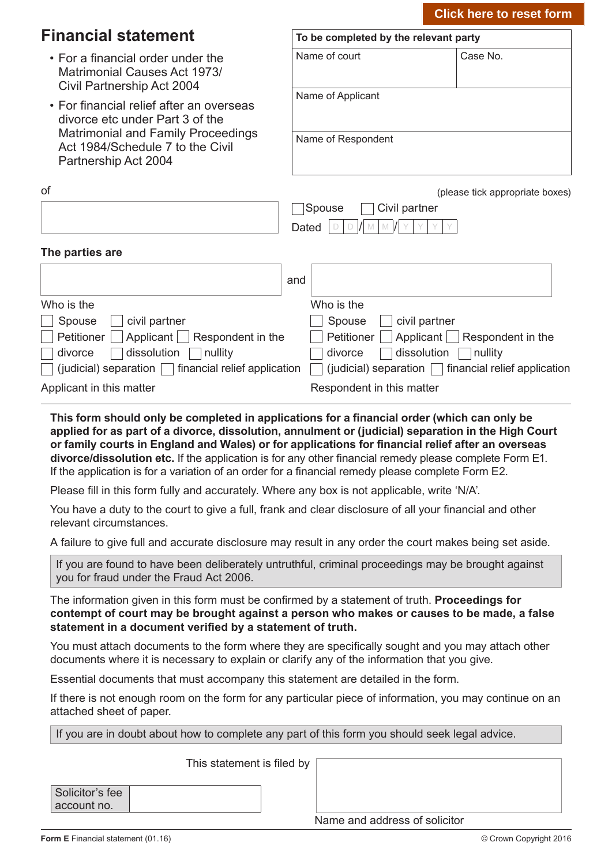### **Click here to reset form**

# **Financial statement**

- For a financial order under the Matrimonial Causes Act 1973/ Civil Partnership Act 2004
- For financial relief after an overseas divorce etc under Part 3 of the Matrimonial and Family Proceedings Act 1984/Schedule 7 to the Civil Partnership Act 2004

| To be completed by the relevant party |          |
|---------------------------------------|----------|
| Name of court                         | Case No. |
| Name of Applicant                     |          |
| Name of Respondent                    |          |

of (please tick appropriate boxes)

|                                              | Civil partner<br>Spouse<br>Dated             |
|----------------------------------------------|----------------------------------------------|
| The parties are                              |                                              |
|                                              | and                                          |
| Who is the                                   | Who is the                                   |
| civil partner<br>Spouse                      | civil partner<br>Spouse                      |
| Applicant<br>Respondent in the<br>Petitioner | Applicant<br>Respondent in the<br>Petitioner |
| dissolution<br>nullity<br>divorce            | dissolution<br>nullity<br>divorce            |

(judicial) separation  $\Box$  financial relief application  $\Box$  (judicial) separation  $\Box$  financial relief application

### Applicant in this matter

**This form should only be completed in applications for a financial order (which can only be applied for as part of a divorce, dissolution, annulment or (judicial) separation in the High Court or family courts in England and Wales) or for applications for financial relief after an overseas divorce/dissolution etc.** If the application is for any other financial remedy please complete Form E1. If the application is for a variation of an order for a financial remedy please complete Form E2.

Respondent in this matter

Please fill in this form fully and accurately. Where any box is not applicable, write 'N/A'.

You have a duty to the court to give a full, frank and clear disclosure of all your financial and other relevant circumstances.

A failure to give full and accurate disclosure may result in any order the court makes being set aside.

If you are found to have been deliberately untruthful, criminal proceedings may be brought against you for fraud under the Fraud Act 2006.

The information given in this form must be confirmed by a statement of truth. **Proceedings for contempt of court may be brought against a person who makes or causes to be made, a false statement in a document verified by a statement of truth.**

You must attach documents to the form where they are specifically sought and you may attach other documents where it is necessary to explain or clarify any of the information that you give.

Essential documents that must accompany this statement are detailed in the form.

If there is not enough room on the form for any particular piece of information, you may continue on an attached sheet of paper.

If you are in doubt about how to complete any part of this form you should seek legal advice.

|                 | This statement is filed by |  |  |
|-----------------|----------------------------|--|--|
| Solicitor's fee |                            |  |  |
| account no.     |                            |  |  |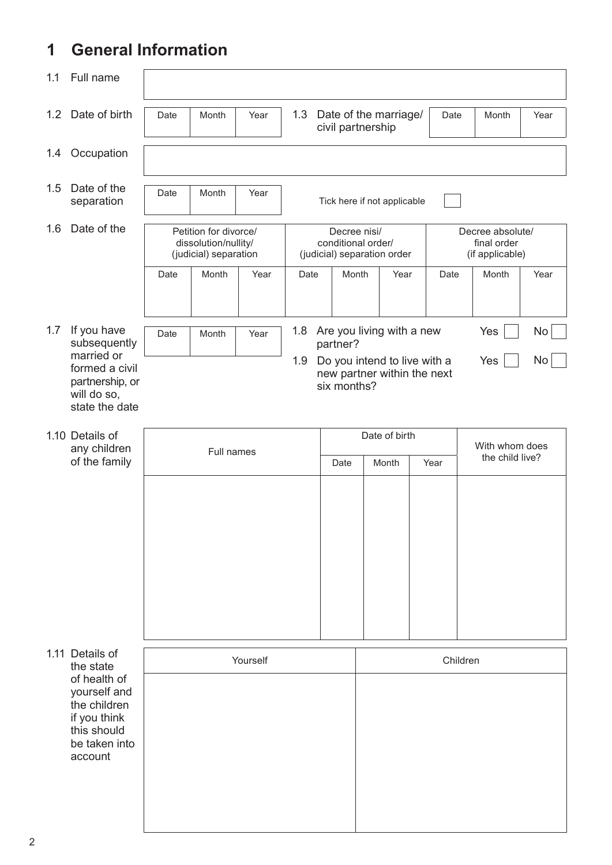# **1 General Information**

| 1.1 | Full name                                                                                               |      |                                                                        |          |      |                                |                                    |                             |                                                                 |                                   |                                                    |      |
|-----|---------------------------------------------------------------------------------------------------------|------|------------------------------------------------------------------------|----------|------|--------------------------------|------------------------------------|-----------------------------|-----------------------------------------------------------------|-----------------------------------|----------------------------------------------------|------|
|     | 1.2 Date of birth                                                                                       | Date | Month                                                                  | Year     |      |                                | civil partnership                  | 1.3 Date of the marriage/   |                                                                 | Date                              | Month                                              | Year |
| 1.4 | Occupation                                                                                              |      |                                                                        |          |      |                                |                                    |                             |                                                                 |                                   |                                                    |      |
| 1.5 | Date of the<br>separation                                                                               | Date | Month                                                                  | Year     |      |                                |                                    | Tick here if not applicable |                                                                 |                                   |                                                    |      |
| 1.6 | Date of the                                                                                             |      | Petition for divorce/<br>dissolution/nullity/<br>(judicial) separation |          |      |                                | Decree nisi/<br>conditional order/ | (judicial) separation order |                                                                 |                                   | Decree absolute/<br>final order<br>(if applicable) |      |
|     |                                                                                                         | Date | Month                                                                  | Year     | Date |                                | Month                              | Year                        | Date                                                            |                                   | Month                                              | Year |
| 1.7 | If you have<br>subsequently                                                                             | Date | Month                                                                  | Year     | 1.8  |                                | partner?                           |                             | Are you living with a new                                       |                                   | Yes                                                | No   |
|     | married or<br>formed a civil<br>partnership, or<br>will do so,<br>state the date                        |      |                                                                        |          |      |                                | six months?                        |                             | 1.9 Do you intend to live with a<br>new partner within the next |                                   | Yes                                                | No   |
|     | 1.10 Details of<br>any children<br>of the family                                                        |      | Full names                                                             |          |      | Date of birth<br>Date<br>Month |                                    | Year                        |                                                                 | With whom does<br>the child live? |                                                    |      |
|     |                                                                                                         |      |                                                                        |          |      |                                |                                    |                             |                                                                 |                                   |                                                    |      |
|     | 1.11 Details of<br>the state                                                                            |      |                                                                        | Yourself |      |                                |                                    |                             |                                                                 | Children                          |                                                    |      |
|     | of health of<br>yourself and<br>the children<br>if you think<br>this should<br>be taken into<br>account |      |                                                                        |          |      |                                |                                    |                             |                                                                 |                                   |                                                    |      |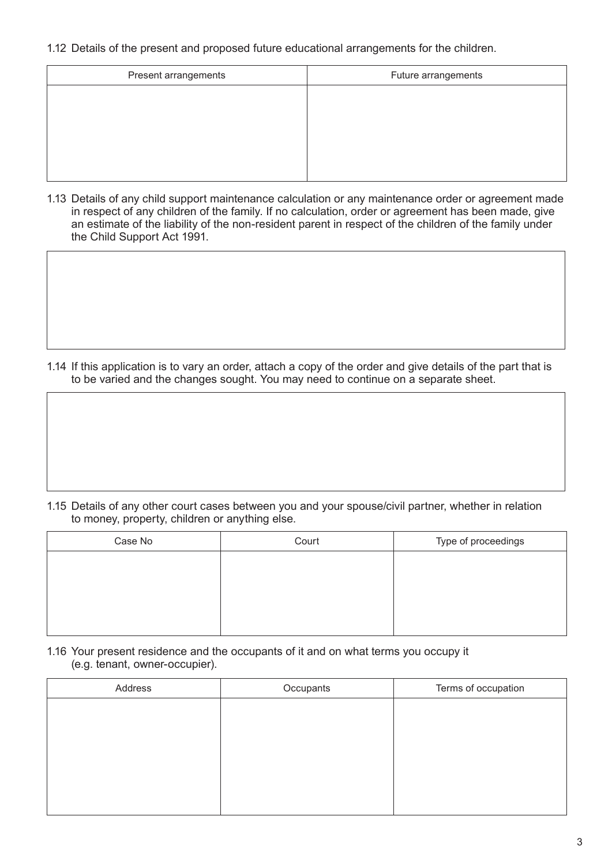1.12 Details of the present and proposed future educational arrangements for the children.

| Present arrangements | Future arrangements |
|----------------------|---------------------|
|                      |                     |
|                      |                     |
|                      |                     |
|                      |                     |
|                      |                     |

1.13 Details of any child support maintenance calculation or any maintenance order or agreement made in respect of any children of the family. If no calculation, order or agreement has been made, give an estimate of the liability of the non-resident parent in respect of the children of the family under the Child Support Act 1991.

1.14 If this application is to vary an order, attach a copy of the order and give details of the part that is to be varied and the changes sought. You may need to continue on a separate sheet.

1.15 Details of any other court cases between you and your spouse/civil partner, whether in relation to money, property, children or anything else.

| Case No | Court | Type of proceedings |
|---------|-------|---------------------|
|         |       |                     |
|         |       |                     |
|         |       |                     |
|         |       |                     |

### 1.16 Your present residence and the occupants of it and on what terms you occupy it (e.g. tenant, owner-occupier).

| Address | Occupants | Terms of occupation |
|---------|-----------|---------------------|
|         |           |                     |
|         |           |                     |
|         |           |                     |
|         |           |                     |
|         |           |                     |
|         |           |                     |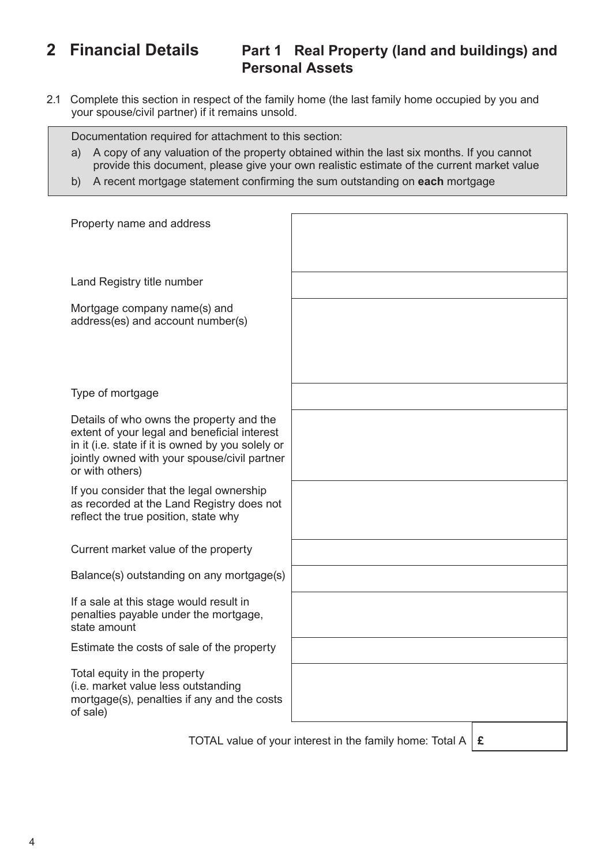### **2 Financial Details Part 1 Real Property (land and buildings) and Personal Assets**

2.1 Complete this section in respect of the family home (the last family home occupied by you and your spouse/civil partner) if it remains unsold.

Documentation required for attachment to this section:

- a) A copy of any valuation of the property obtained within the last six months. If you cannot provide this document, please give your own realistic estimate of the current market value
- b) A recent mortgage statement confirming the sum outstanding on **each** mortgage

| Property name and address                                                                                                                                                                                        |  |
|------------------------------------------------------------------------------------------------------------------------------------------------------------------------------------------------------------------|--|
| Land Registry title number                                                                                                                                                                                       |  |
| Mortgage company name(s) and<br>address(es) and account number(s)                                                                                                                                                |  |
|                                                                                                                                                                                                                  |  |
| Type of mortgage                                                                                                                                                                                                 |  |
| Details of who owns the property and the<br>extent of your legal and beneficial interest<br>in it (i.e. state if it is owned by you solely or<br>jointly owned with your spouse/civil partner<br>or with others) |  |
| If you consider that the legal ownership<br>as recorded at the Land Registry does not<br>reflect the true position, state why                                                                                    |  |
| Current market value of the property                                                                                                                                                                             |  |
| Balance(s) outstanding on any mortgage(s)                                                                                                                                                                        |  |
| If a sale at this stage would result in<br>penalties payable under the mortgage,<br>state amount                                                                                                                 |  |
| Estimate the costs of sale of the property                                                                                                                                                                       |  |
| Total equity in the property<br>(i.e. market value less outstanding<br>mortgage(s), penalties if any and the costs<br>of sale)                                                                                   |  |

TOTAL value of your interest in the family home: Total A **£**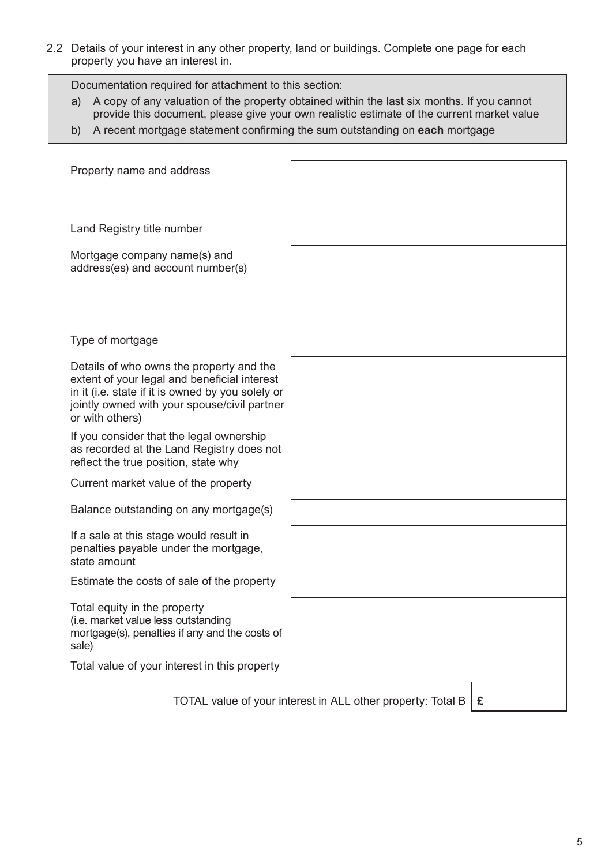2.2 Details of your interest in any other property, land or buildings. Complete one page for each property you have an interest in.

Documentation required for attachment to this section:

- a) A copy of any valuation of the property obtained within the last six months. If you cannot provide this document, please give your own realistic estimate of the current market value
- b) A recent mortgage statement confirming the sum outstanding on **each** mortgage

| Property name and address                                                                                                                                                                                        |  |
|------------------------------------------------------------------------------------------------------------------------------------------------------------------------------------------------------------------|--|
| Land Registry title number                                                                                                                                                                                       |  |
| Mortgage company name(s) and<br>address(es) and account number(s)                                                                                                                                                |  |
| Type of mortgage                                                                                                                                                                                                 |  |
| Details of who owns the property and the<br>extent of your legal and beneficial interest<br>in it (i.e. state if it is owned by you solely or<br>jointly owned with your spouse/civil partner<br>or with others) |  |
| If you consider that the legal ownership<br>as recorded at the Land Registry does not<br>reflect the true position, state why                                                                                    |  |
| Current market value of the property                                                                                                                                                                             |  |
| Balance outstanding on any mortgage(s)                                                                                                                                                                           |  |
| If a sale at this stage would result in<br>penalties payable under the mortgage,<br>state amount                                                                                                                 |  |
| Estimate the costs of sale of the property                                                                                                                                                                       |  |
| Total equity in the property<br>(i.e. market value less outstanding<br>mortgage(s), penalties if any and the costs of<br>sale)                                                                                   |  |
| Total value of your interest in this property                                                                                                                                                                    |  |
|                                                                                                                                                                                                                  |  |

TOTAL value of your interest in ALL other property: Total B **£**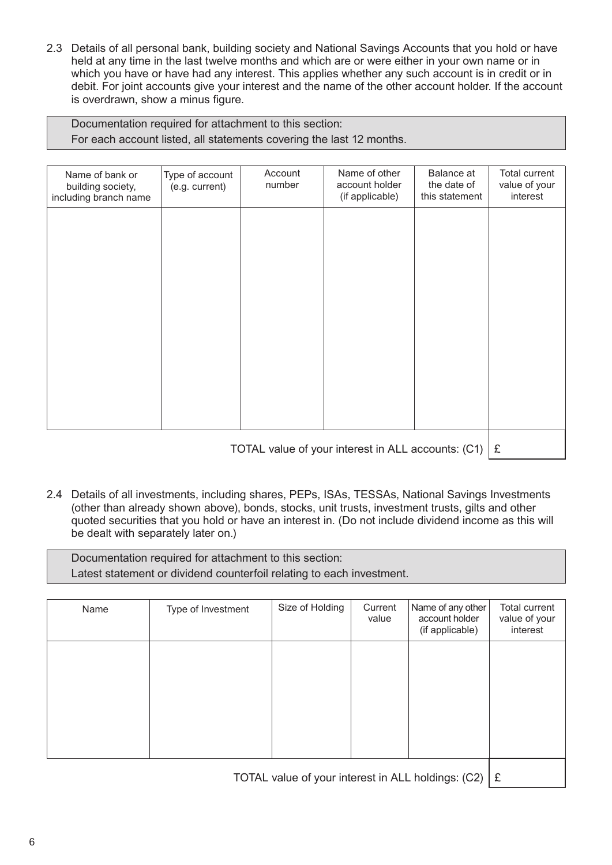2.3 Details of all personal bank, building society and National Savings Accounts that you hold or have held at any time in the last twelve months and which are or were either in your own name or in which you have or have had any interest. This applies whether any such account is in credit or in debit. For joint accounts give your interest and the name of the other account holder. If the account is overdrawn, show a minus figure.

Documentation required for attachment to this section: For each account listed, all statements covering the last 12 months.

| Name of bank or<br>building society,<br>including branch name | Type of account<br>(e.g. current) | Account<br>number | Name of other<br>account holder<br>(if applicable) | Balance at<br>the date of<br>this statement | Total current<br>value of your<br>interest |
|---------------------------------------------------------------|-----------------------------------|-------------------|----------------------------------------------------|---------------------------------------------|--------------------------------------------|
|                                                               |                                   |                   |                                                    |                                             |                                            |
|                                                               |                                   |                   |                                                    |                                             |                                            |
|                                                               |                                   |                   |                                                    |                                             |                                            |
|                                                               |                                   |                   |                                                    |                                             |                                            |
|                                                               |                                   |                   |                                                    |                                             |                                            |
|                                                               |                                   |                   |                                                    |                                             |                                            |

TOTAL value of your interest in ALL accounts: (C1)  $\mathcal{E}$ 

2.4 Details of all investments, including shares, PEPs, ISAs, TESSAs, National Savings Investments (other than already shown above), bonds, stocks, unit trusts, investment trusts, gilts and other quoted securities that you hold or have an interest in. (Do not include dividend income as this will be dealt with separately later on.)

Documentation required for attachment to this section: Latest statement or dividend counterfoil relating to each investment.

| Name | Type of Investment | Size of Holding | Current<br>value | Name of any other<br>account holder<br>(if applicable) | Total current<br>value of your<br>interest |
|------|--------------------|-----------------|------------------|--------------------------------------------------------|--------------------------------------------|
|      |                    |                 |                  |                                                        |                                            |
|      |                    |                 |                  |                                                        |                                            |
|      |                    |                 |                  |                                                        |                                            |
|      |                    |                 |                  | $\sim$ $\sim$ $\sim$                                   |                                            |

TOTAL value of your interest in ALL holdings: (C2)  $\mid$  £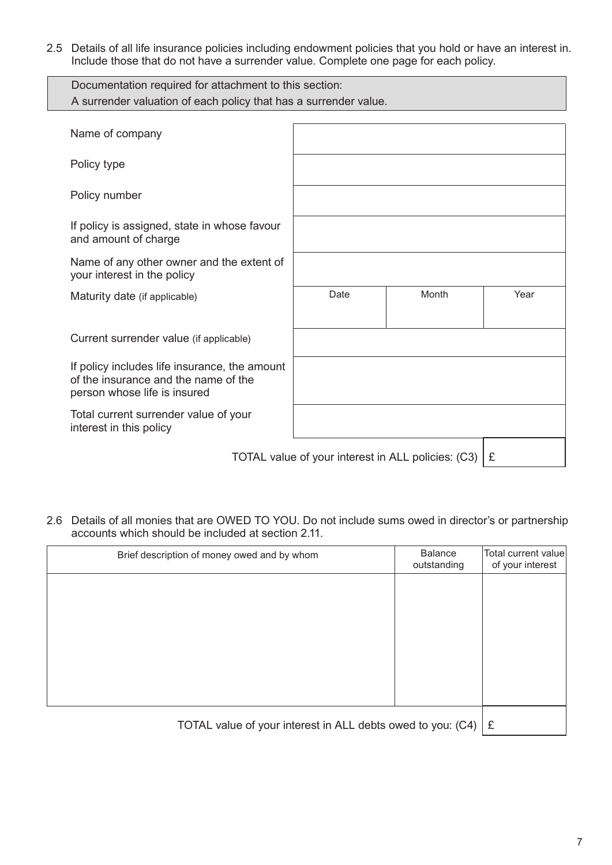2.5 Details of all life insurance policies including endowment policies that you hold or have an interest in. Include those that do not have a surrender value. Complete one page for each policy.

| Documentation required for attachment to this section:           |
|------------------------------------------------------------------|
| A surrender valuation of each policy that has a surrender value. |

| Name of company                                                                                                       |                                                    |       |      |
|-----------------------------------------------------------------------------------------------------------------------|----------------------------------------------------|-------|------|
| Policy type                                                                                                           |                                                    |       |      |
| Policy number                                                                                                         |                                                    |       |      |
| If policy is assigned, state in whose favour<br>and amount of charge                                                  |                                                    |       |      |
| Name of any other owner and the extent of<br>your interest in the policy                                              |                                                    |       |      |
| Maturity date (if applicable)                                                                                         | Date                                               | Month | Year |
| Current surrender value (if applicable)                                                                               |                                                    |       |      |
| If policy includes life insurance, the amount<br>of the insurance and the name of the<br>person whose life is insured |                                                    |       |      |
| Total current surrender value of your<br>interest in this policy                                                      |                                                    |       |      |
|                                                                                                                       | TOTAL value of your interest in ALL policies: (C3) |       | £    |

2.6 Details of all monies that are OWED TO YOU. Do not include sums owed in director's or partnership accounts which should be included at section 2.11.

| Brief description of money owed and by whom                 | <b>Balance</b><br>outstanding | Total current value<br>of your interest |
|-------------------------------------------------------------|-------------------------------|-----------------------------------------|
|                                                             |                               |                                         |
|                                                             |                               |                                         |
|                                                             |                               |                                         |
|                                                             |                               |                                         |
|                                                             |                               |                                         |
| TOTAL value of your interest in ALL debts owed to you: (C4) |                               | E                                       |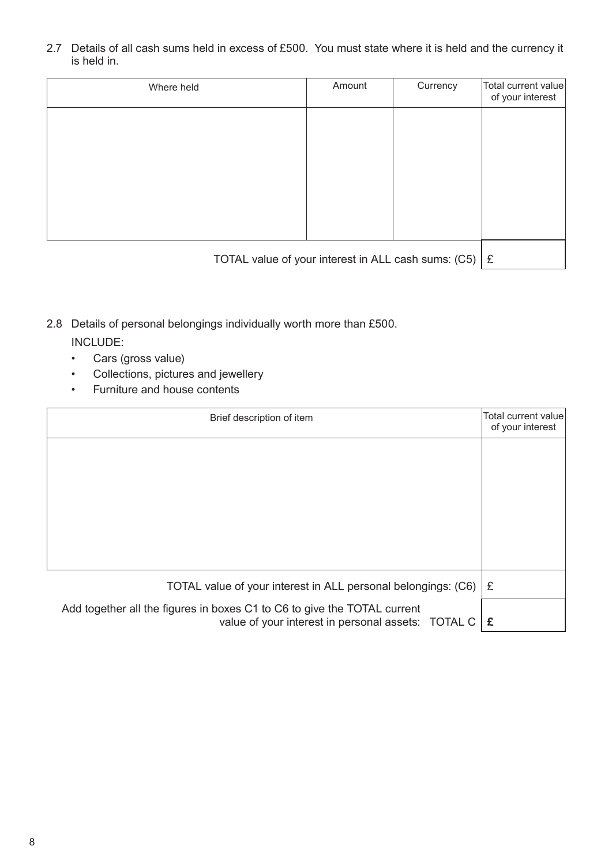2.7 Details of all cash sums held in excess of £500. You must state where it is held and the currency it is held in.

| Where held                                          | Amount | Currency | Total current value<br>of your interest |
|-----------------------------------------------------|--------|----------|-----------------------------------------|
|                                                     |        |          |                                         |
|                                                     |        |          |                                         |
|                                                     |        |          |                                         |
|                                                     |        |          |                                         |
|                                                     |        |          |                                         |
| TOTAL value of your interest in ALL cash sums: (C5) |        |          | Ι£                                      |

2.8 Details of personal belongings individually worth more than £500.

INCLUDE:

- Cars (gross value)
- Collections, pictures and jewellery
- Furniture and house contents

| Brief description of item                                                                                                      | Total current value<br>of your interest |
|--------------------------------------------------------------------------------------------------------------------------------|-----------------------------------------|
|                                                                                                                                |                                         |
|                                                                                                                                |                                         |
|                                                                                                                                |                                         |
|                                                                                                                                |                                         |
|                                                                                                                                |                                         |
| TOTAL value of your interest in ALL personal belongings: (C6)                                                                  | £                                       |
| Add together all the figures in boxes C1 to C6 to give the TOTAL current<br>value of your interest in personal assets: TOTAL C | £                                       |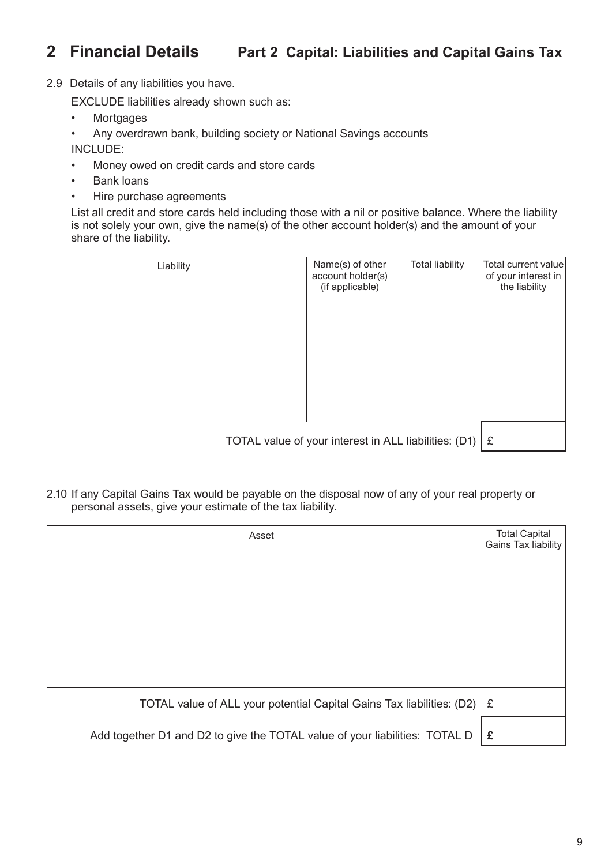## **2 Financial Details Part 2 Capital: Liabilities and Capital Gains Tax**

2.9 Details of any liabilities you have.

EXCLUDE liabilities already shown such as:

- Mortgages
- Any overdrawn bank, building society or National Savings accounts INCLUDE:
- Money owed on credit cards and store cards
- Bank loans
- Hire purchase agreements

List all credit and store cards held including those with a nil or positive balance. Where the liability is not solely your own, give the name(s) of the other account holder(s) and the amount of your share of the liability.

| Liability | Name(s) of other<br>account holder(s)<br>(if applicable) | <b>Total liability</b> | Total current value<br>of your interest in<br>the liability |
|-----------|----------------------------------------------------------|------------------------|-------------------------------------------------------------|
|           |                                                          |                        |                                                             |
|           |                                                          |                        |                                                             |
|           |                                                          |                        |                                                             |
|           | TOTAL value of your interest in ALL liabilities: (D1)    |                        | ١£                                                          |

2.10 If any Capital Gains Tax would be payable on the disposal now of any of your real property or personal assets, give your estimate of the tax liability.

| Asset                                                                       | <b>Total Capital</b><br>Gains Tax liability |
|-----------------------------------------------------------------------------|---------------------------------------------|
|                                                                             |                                             |
|                                                                             |                                             |
|                                                                             |                                             |
|                                                                             |                                             |
|                                                                             |                                             |
| TOTAL value of ALL your potential Capital Gains Tax liabilities: (D2)       | E                                           |
| Add together D1 and D2 to give the TOTAL value of your liabilities: TOTAL D | E                                           |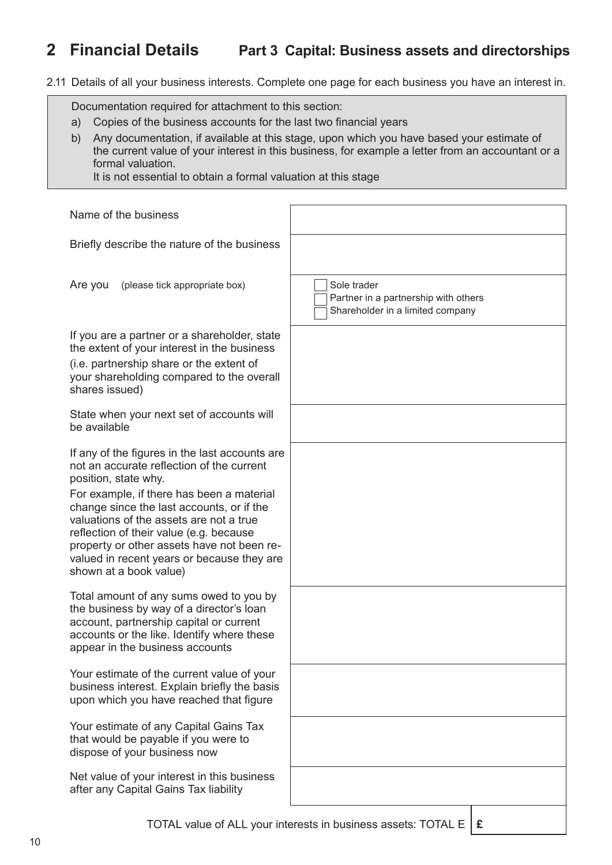## **2 Financial Details Part 3 Capital: Business assets and directorships**

2.11 Details of all your business interests. Complete one page for each business you have an interest in.

Documentation required for attachment to this section:

- a) Copies of the business accounts for the last two financial years
- b) Any documentation, if available at this stage, upon which you have based your estimate of the current value of your interest in this business, for example a letter from an accountant or a formal valuation.

It is not essential to obtain a formal valuation at this stage

| Name of the business                                                                                                                                                                                                                                                                                                                                                                                                      |                                                                                         |
|---------------------------------------------------------------------------------------------------------------------------------------------------------------------------------------------------------------------------------------------------------------------------------------------------------------------------------------------------------------------------------------------------------------------------|-----------------------------------------------------------------------------------------|
| Briefly describe the nature of the business                                                                                                                                                                                                                                                                                                                                                                               |                                                                                         |
| Are you<br>(please tick appropriate box)                                                                                                                                                                                                                                                                                                                                                                                  | Sole trader<br>Partner in a partnership with others<br>Shareholder in a limited company |
| If you are a partner or a shareholder, state<br>the extent of your interest in the business<br>(i.e. partnership share or the extent of<br>your shareholding compared to the overall<br>shares issued)                                                                                                                                                                                                                    |                                                                                         |
| State when your next set of accounts will<br>be available                                                                                                                                                                                                                                                                                                                                                                 |                                                                                         |
| If any of the figures in the last accounts are<br>not an accurate reflection of the current<br>position, state why.<br>For example, if there has been a material<br>change since the last accounts, or if the<br>valuations of the assets are not a true<br>reflection of their value (e.g. because<br>property or other assets have not been re-<br>valued in recent years or because they are<br>shown at a book value) |                                                                                         |
| Total amount of any sums owed to you by<br>the business by way of a director's loan<br>account, partnership capital or current<br>accounts or the like. Identify where these<br>appear in the business accounts                                                                                                                                                                                                           |                                                                                         |
| Your estimate of the current value of your<br>business interest. Explain briefly the basis<br>upon which you have reached that figure                                                                                                                                                                                                                                                                                     |                                                                                         |
| Your estimate of any Capital Gains Tax<br>that would be payable if you were to<br>dispose of your business now                                                                                                                                                                                                                                                                                                            |                                                                                         |
| Net value of your interest in this business<br>after any Capital Gains Tax liability                                                                                                                                                                                                                                                                                                                                      |                                                                                         |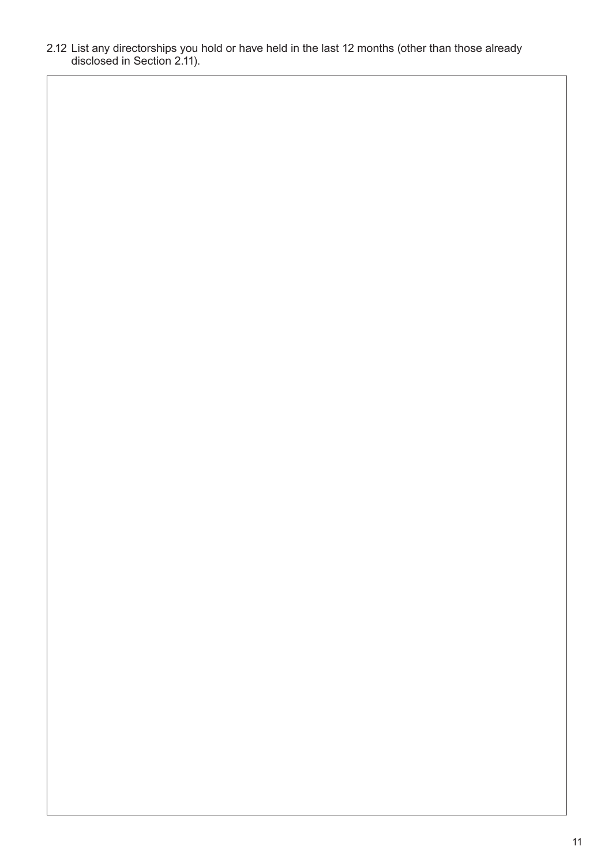2.12 List any directorships you hold or have held in the last 12 months (other than those already disclosed in Section 2.11).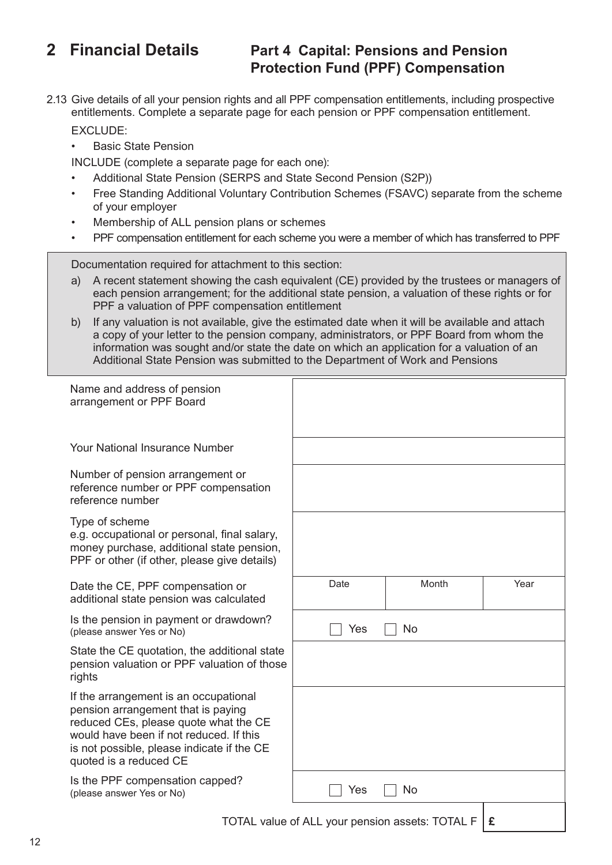### **2 Financial Details Part 4 Capital: Pensions and Pension Protection Fund (PPF) Compensation**

2.13 Give details of all your pension rights and all PPF compensation entitlements, including prospective entitlements. Complete a separate page for each pension or PPF compensation entitlement.

EXCLUDE:

• Basic State Pension

INCLUDE (complete a separate page for each one):

- Additional State Pension (SERPS and State Second Pension (S2P))
- Free Standing Additional Voluntary Contribution Schemes (FSAVC) separate from the scheme of your employer
- Membership of ALL pension plans or schemes
- PPF compensation entitlement for each scheme you were a member of which has transferred to PPF

Documentation required for attachment to this section:

- a) A recent statement showing the cash equivalent (CE) provided by the trustees or managers of each pension arrangement; for the additional state pension, a valuation of these rights or for PPF a valuation of PPF compensation entitlement
- b) If any valuation is not available, give the estimated date when it will be available and attach a copy of your letter to the pension company, administrators, or PPF Board from whom the information was sought and/or state the date on which an application for a valuation of an Additional State Pension was submitted to the Department of Work and Pensions

| Name and address of pension<br>arrangement or PPF Board                                                                                                                                                                                 |      |                                                 |      |
|-----------------------------------------------------------------------------------------------------------------------------------------------------------------------------------------------------------------------------------------|------|-------------------------------------------------|------|
| <b>Your National Insurance Number</b>                                                                                                                                                                                                   |      |                                                 |      |
| Number of pension arrangement or<br>reference number or PPF compensation<br>reference number                                                                                                                                            |      |                                                 |      |
| Type of scheme<br>e.g. occupational or personal, final salary,<br>money purchase, additional state pension,<br>PPF or other (if other, please give details)                                                                             |      |                                                 |      |
| Date the CE, PPF compensation or<br>additional state pension was calculated                                                                                                                                                             | Date | Month                                           | Year |
| Is the pension in payment or drawdown?<br>(please answer Yes or No)                                                                                                                                                                     | Yes  | No                                              |      |
| State the CE quotation, the additional state<br>pension valuation or PPF valuation of those<br>rights                                                                                                                                   |      |                                                 |      |
| If the arrangement is an occupational<br>pension arrangement that is paying<br>reduced CEs, please quote what the CE<br>would have been if not reduced. If this<br>is not possible, please indicate if the CE<br>quoted is a reduced CE |      |                                                 |      |
| Is the PPF compensation capped?<br>(please answer Yes or No)                                                                                                                                                                            | Yes  | <b>No</b>                                       |      |
|                                                                                                                                                                                                                                         |      | TOTAL value of ALL your pension assets: TOTAL F | £    |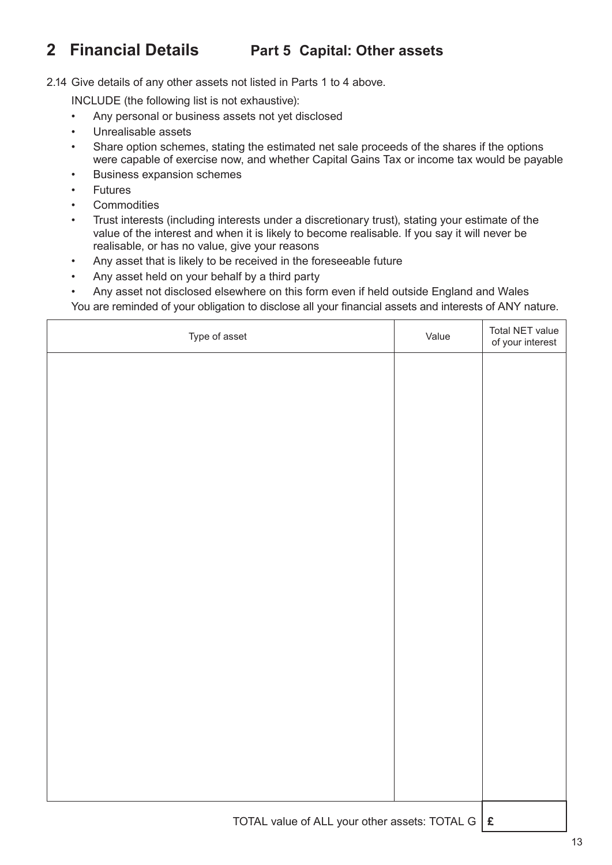## **2 Financial Details Part 5 Capital: Other assets**

2.14 Give details of any other assets not listed in Parts 1 to 4 above.

INCLUDE (the following list is not exhaustive):

- Any personal or business assets not yet disclosed
- Unrealisable assets
- Share option schemes, stating the estimated net sale proceeds of the shares if the options were capable of exercise now, and whether Capital Gains Tax or income tax would be payable
- Business expansion schemes
- **Futures**
- **Commodities**
- Trust interests (including interests under a discretionary trust), stating your estimate of the value of the interest and when it is likely to become realisable. If you say it will never be realisable, or has no value, give your reasons
- Any asset that is likely to be received in the foreseeable future
- Any asset held on your behalf by a third party

• Any asset not disclosed elsewhere on this form even if held outside England and Wales You are reminded of your obligation to disclose all your financial assets and interests of ANY nature.

| Type of asset | Value | Total NET value<br>of your interest |
|---------------|-------|-------------------------------------|
|               |       |                                     |
|               |       |                                     |
|               |       |                                     |
|               |       |                                     |
|               |       |                                     |
|               |       |                                     |
|               |       |                                     |
|               |       |                                     |
|               |       |                                     |
|               |       |                                     |
|               |       |                                     |
|               |       |                                     |
|               |       |                                     |
|               |       |                                     |
|               |       |                                     |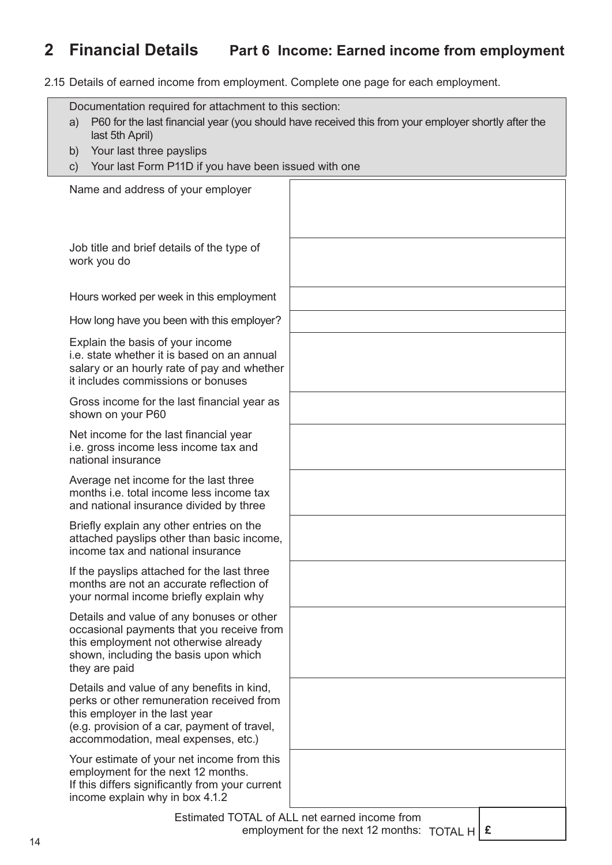## **2 Financial Details Part 6 Income: Earned income from employment**

2.15 Details of earned income from employment. Complete one page for each employment.

Documentation required for attachment to this section: a) P60 for the last financial year (you should have received this from your employer shortly after the last 5th April) b) Your last three payslips c) Your last Form P11D if you have been issued with one Name and address of your employer Job title and brief details of the type of work you do Hours worked per week in this employment How long have you been with this employer? Explain the basis of your income i.e. state whether it is based on an annual salary or an hourly rate of pay and whether it includes commissions or bonuses Gross income for the last financial year as shown on your P60 Net income for the last financial year i.e. gross income less income tax and national insurance Average net income for the last three months i.e. total income less income tax and national insurance divided by three Briefly explain any other entries on the attached payslips other than basic income, income tax and national insurance If the payslips attached for the last three months are not an accurate reflection of your normal income briefly explain why Details and value of any bonuses or other occasional payments that you receive from this employment not otherwise already shown, including the basis upon which they are paid Details and value of any benefits in kind, perks or other remuneration received from this employer in the last year (e.g. provision of a car, payment of travel, accommodation, meal expenses, etc.) Your estimate of your net income from this employment for the next 12 months. If this differs significantly from your current income explain why in box 4.1.2

> Estimated TOTAL of ALL net earned income from employment for the next 12 months: TOTAL H **£**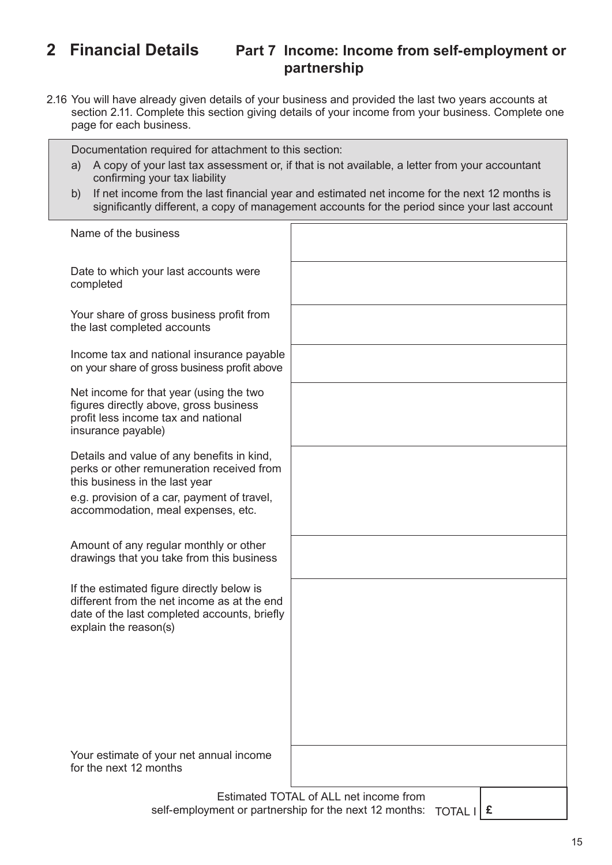## **2 Financial Details Part 7 Income: Income from self-employment or partnership**

2.16 You will have already given details of your business and provided the last two years accounts at section 2.11. Complete this section giving details of your income from your business. Complete one page for each business.

Documentation required for attachment to this section:

- a) A copy of your last tax assessment or, if that is not available, a letter from your accountant confirming your tax liability
- b) If net income from the last financial year and estimated net income for the next 12 months is significantly different, a copy of management accounts for the period since your last account

| Name of the business                                                                                                                                                                                           |  |
|----------------------------------------------------------------------------------------------------------------------------------------------------------------------------------------------------------------|--|
| Date to which your last accounts were<br>completed                                                                                                                                                             |  |
| Your share of gross business profit from<br>the last completed accounts                                                                                                                                        |  |
| Income tax and national insurance payable<br>on your share of gross business profit above                                                                                                                      |  |
| Net income for that year (using the two<br>figures directly above, gross business<br>profit less income tax and national<br>insurance payable)                                                                 |  |
| Details and value of any benefits in kind,<br>perks or other remuneration received from<br>this business in the last year<br>e.g. provision of a car, payment of travel,<br>accommodation, meal expenses, etc. |  |
| Amount of any regular monthly or other<br>drawings that you take from this business                                                                                                                            |  |
| If the estimated figure directly below is<br>different from the net income as at the end<br>date of the last completed accounts, briefly<br>explain the reason(s)                                              |  |
| Your estimate of your net annual income<br>for the next 12 months                                                                                                                                              |  |

Estimated TOTAL of ALL net income from self-employment or partnership for the next 12 months:  $TOTAL$ <sub>1</sub> **£**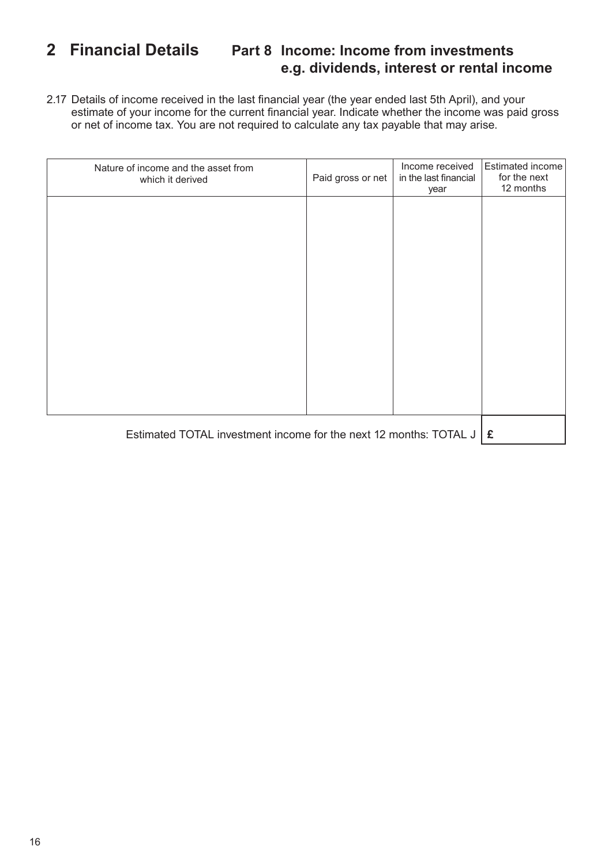## **2 Financial Details Part 8 Income: Income from investments e.g. dividends, interest or rental income**

2.17 Details of income received in the last financial year (the year ended last 5th April), and your estimate of your income for the current financial year. Indicate whether the income was paid gross or net of income tax. You are not required to calculate any tax payable that may arise.

| Nature of income and the asset from<br>which it derived           | Paid gross or net | Income received<br>in the last financial<br>year | Estimated income<br>for the next<br>12 months |
|-------------------------------------------------------------------|-------------------|--------------------------------------------------|-----------------------------------------------|
|                                                                   |                   |                                                  |                                               |
|                                                                   |                   |                                                  |                                               |
|                                                                   |                   |                                                  |                                               |
|                                                                   |                   |                                                  |                                               |
|                                                                   |                   |                                                  |                                               |
|                                                                   |                   |                                                  |                                               |
| Estimated TOTAL investment income for the next 12 months: TOTAL J |                   |                                                  | E                                             |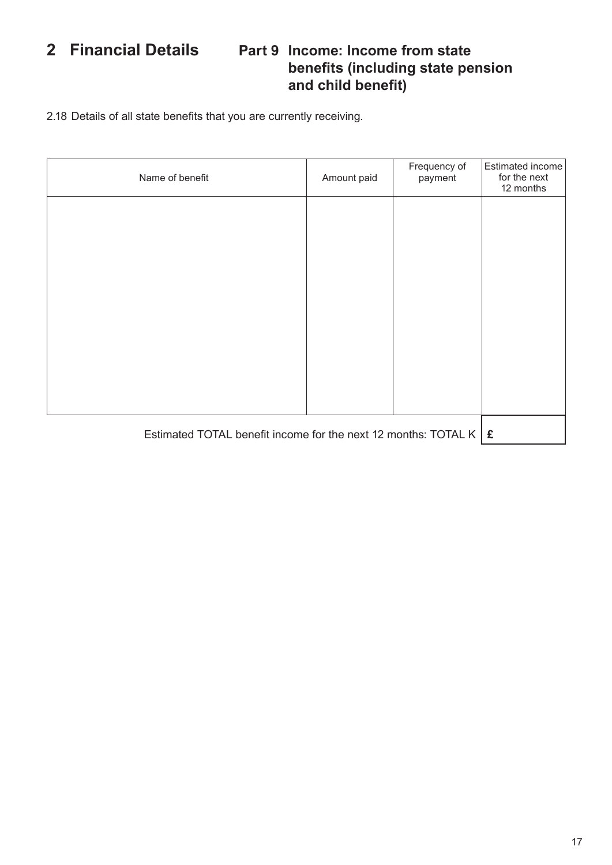## **2 Financial Details Part 9 Income: Income from state benefits (including state pension and child benefit)**

2.18 Details of all state benefits that you are currently receiving.

| Name of benefit                                                             | Amount paid | Frequency of<br>payment | Estimated income<br>for the next<br>12 months |
|-----------------------------------------------------------------------------|-------------|-------------------------|-----------------------------------------------|
|                                                                             |             |                         |                                               |
|                                                                             |             |                         |                                               |
|                                                                             |             |                         |                                               |
|                                                                             |             |                         |                                               |
|                                                                             |             |                         |                                               |
|                                                                             |             |                         |                                               |
| Estimated TOTAL benefit income for the next 12 months: TOTAL K $\mathbf{E}$ |             |                         |                                               |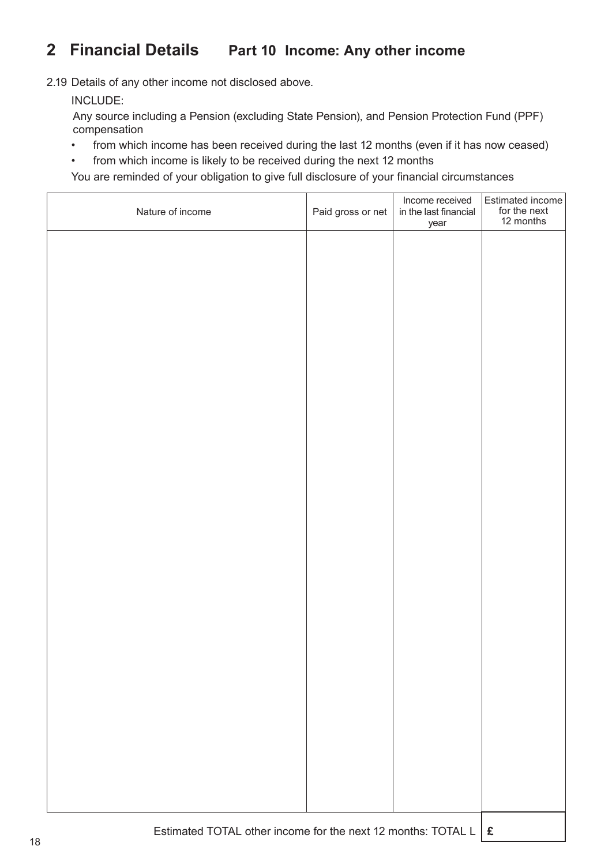## **2 Financial Details Part 10 Income: Any other income**

2.19 Details of any other income not disclosed above.

INCLUDE:

Any source including a Pension (excluding State Pension), and Pension Protection Fund (PPF) compensation

- from which income has been received during the last 12 months (even if it has now ceased)
- from which income is likely to be received during the next 12 months

You are reminded of your obligation to give full disclosure of your financial circumstances

| Nature of income                                                          | Paid gross or net | Income received<br>in the last financial<br>year | Estimated income<br>for the next<br>12 months |
|---------------------------------------------------------------------------|-------------------|--------------------------------------------------|-----------------------------------------------|
|                                                                           |                   |                                                  |                                               |
|                                                                           |                   |                                                  |                                               |
|                                                                           |                   |                                                  |                                               |
|                                                                           |                   |                                                  |                                               |
|                                                                           |                   |                                                  |                                               |
|                                                                           |                   |                                                  |                                               |
|                                                                           |                   |                                                  |                                               |
|                                                                           |                   |                                                  |                                               |
|                                                                           |                   |                                                  |                                               |
|                                                                           |                   |                                                  |                                               |
|                                                                           |                   |                                                  |                                               |
|                                                                           |                   |                                                  |                                               |
|                                                                           |                   |                                                  |                                               |
|                                                                           |                   |                                                  |                                               |
|                                                                           |                   |                                                  |                                               |
|                                                                           |                   |                                                  |                                               |
|                                                                           |                   |                                                  |                                               |
|                                                                           |                   |                                                  |                                               |
| Estimated TOTAL other income for the next 12 months: TOTAL L $\mathbf{E}$ |                   |                                                  |                                               |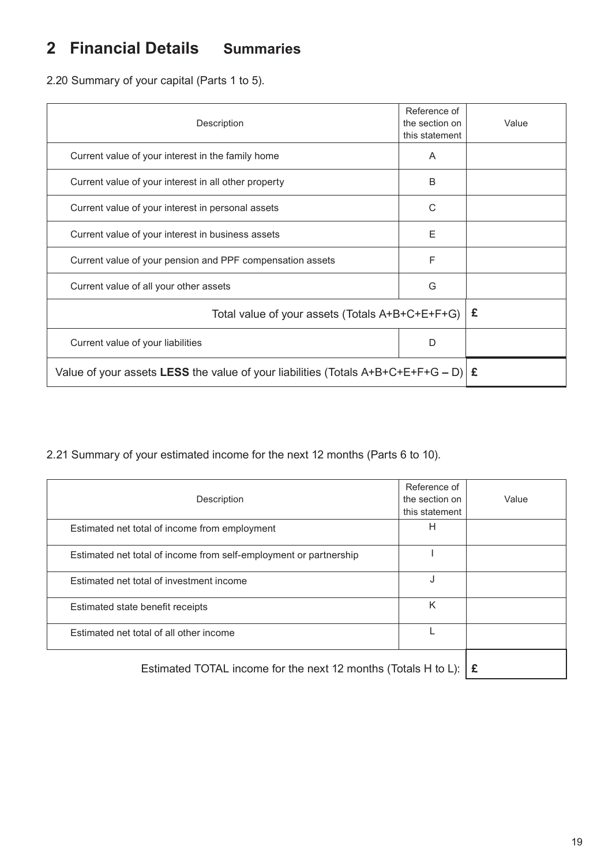# **2 Financial Details Summaries**

2.20 Summary of your capital (Parts 1 to 5).

| Description                                                                                         | Reference of<br>the section on<br>this statement | Value |
|-----------------------------------------------------------------------------------------------------|--------------------------------------------------|-------|
| Current value of your interest in the family home                                                   | A                                                |       |
| Current value of your interest in all other property                                                | B                                                |       |
| Current value of your interest in personal assets                                                   | C                                                |       |
| Current value of your interest in business assets                                                   | Е                                                |       |
| Current value of your pension and PPF compensation assets                                           | F                                                |       |
| Current value of all your other assets                                                              | G                                                |       |
| Total value of your assets (Totals A+B+C+E+F+G)                                                     | £                                                |       |
| Current value of your liabilities                                                                   | D                                                |       |
| Value of your assets LESS the value of your liabilities (Totals A+B+C+E+F+G – D) $\mathbf{\hat{E}}$ |                                                  |       |

### 2.21 Summary of your estimated income for the next 12 months (Parts 6 to 10).

| Description                                                       | Reference of<br>the section on<br>this statement | Value |
|-------------------------------------------------------------------|--------------------------------------------------|-------|
| Estimated net total of income from employment                     | H                                                |       |
| Estimated net total of income from self-employment or partnership |                                                  |       |
| Estimated net total of investment income                          | J                                                |       |
| Estimated state benefit receipts                                  | K                                                |       |
| Estimated net total of all other income                           |                                                  |       |
| Estimated TOTAL income for the next 12 months (Totals H to L):    | £                                                |       |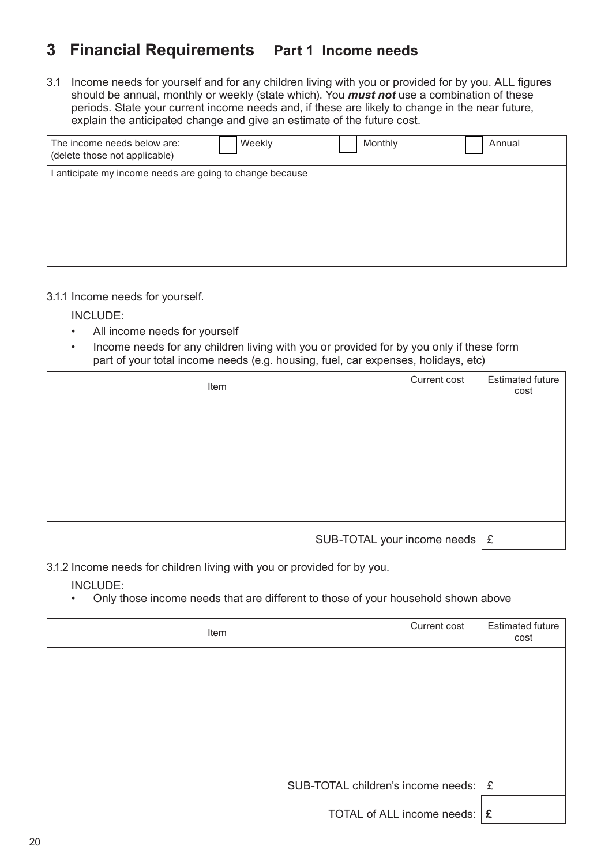## **3 Financial Requirements Part 1 Income needs**

3.1 Income needs for yourself and for any children living with you or provided for by you. ALL figures should be annual, monthly or weekly (state which). You *must not* use a combination of these periods. State your current income needs and, if these are likely to change in the near future, explain the anticipated change and give an estimate of the future cost.

| The income needs below are:<br>(delete those not applicable) | Weekly | Monthly | Annual |
|--------------------------------------------------------------|--------|---------|--------|
| anticipate my income needs are going to change because       |        |         |        |
|                                                              |        |         |        |
|                                                              |        |         |        |
|                                                              |        |         |        |
|                                                              |        |         |        |
|                                                              |        |         |        |

3.1.1 Income needs for yourself.

INCLUDE:

- All income needs for yourself
- Income needs for any children living with you or provided for by you only if these form part of your total income needs (e.g. housing, fuel, car expenses, holidays, etc)

| Item | Current cost                              | <b>Estimated future</b><br>cost |
|------|-------------------------------------------|---------------------------------|
|      |                                           |                                 |
|      |                                           |                                 |
|      |                                           |                                 |
|      |                                           |                                 |
|      | SUB-TOTAL your income needs $\mathcal{E}$ |                                 |

3.1.2 Income needs for children living with you or provided for by you.

INCLUDE:

• Only those income needs that are different to those of your household shown above

| Current cost<br>Item                    | <b>Estimated future</b><br>cost |
|-----------------------------------------|---------------------------------|
|                                         |                                 |
|                                         |                                 |
|                                         |                                 |
|                                         |                                 |
| SUB-TOTAL children's income needs: $E$  |                                 |
| TOTAL of ALL income needs: $\mathbf{E}$ |                                 |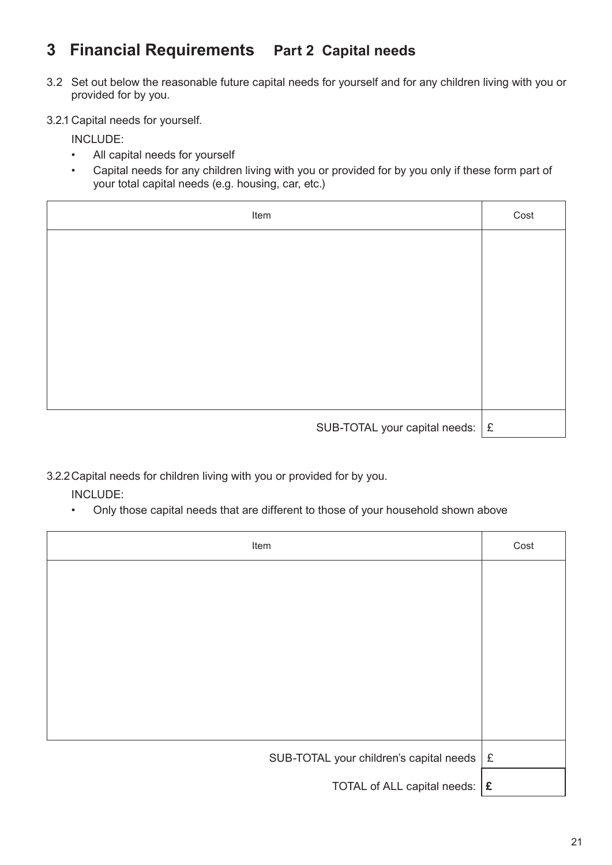## **3 Financial Requirements Part 2 Capital needs**

- 3.2 Set out below the reasonable future capital needs for yourself and for any children living with you or provided for by you.
- 3.2.1 Capital needs for yourself.

INCLUDE:

- All capital needs for yourself
- Capital needs for any children living with you or provided for by you only if these form part of your total capital needs (e.g. housing, car, etc.)

| Item                              | Cost |
|-----------------------------------|------|
|                                   |      |
|                                   |      |
|                                   |      |
|                                   |      |
|                                   |      |
|                                   |      |
| SUB-TOTAL your capital needs: $E$ |      |

3.2.2Capital needs for children living with you or provided for by you.

INCLUDE:

• Only those capital needs that are different to those of your household shown above

| Item                                     | Cost |
|------------------------------------------|------|
|                                          |      |
|                                          |      |
|                                          |      |
|                                          |      |
|                                          |      |
|                                          |      |
| SUB-TOTAL your children's capital needs  | £    |
| TOTAL of ALL capital needs: $\mathbf{E}$ |      |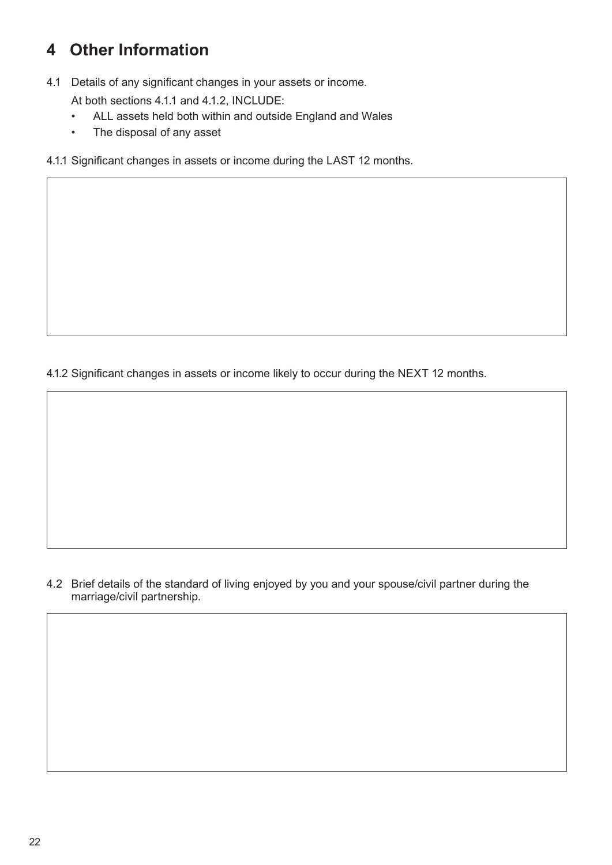## **4 Other Information**

4.1 Details of any significant changes in your assets or income.

At both sections 4.1.1 and 4.1.2, INCLUDE:

- ALL assets held both within and outside England and Wales
- The disposal of any asset
- 4.1.1 Significant changes in assets or income during the LAST 12 months.

4.1.2 Significant changes in assets or income likely to occur during the NEXT 12 months.

4.2 Brief details of the standard of living enjoyed by you and your spouse/civil partner during the marriage/civil partnership.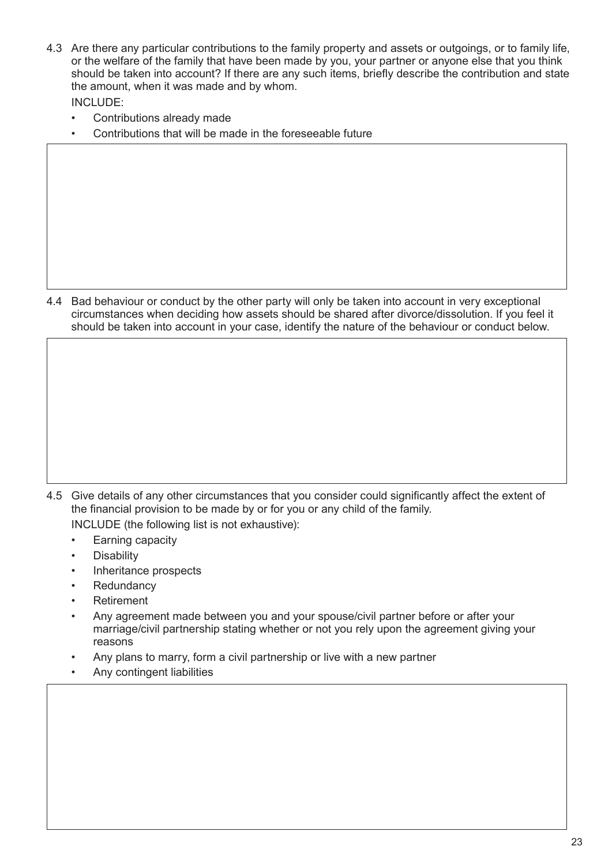4.3 Are there any particular contributions to the family property and assets or outgoings, or to family life, or the welfare of the family that have been made by you, your partner or anyone else that you think should be taken into account? If there are any such items, briefly describe the contribution and state the amount, when it was made and by whom.

INCLUDE:

- Contributions already made
- Contributions that will be made in the foreseeable future

4.4 Bad behaviour or conduct by the other party will only be taken into account in very exceptional circumstances when deciding how assets should be shared after divorce/dissolution. If you feel it should be taken into account in your case, identify the nature of the behaviour or conduct below.

- 4.5 Give details of any other circumstances that you consider could significantly affect the extent of the financial provision to be made by or for you or any child of the family. INCLUDE (the following list is not exhaustive):
	- Earning capacity
	- Disability
	- Inheritance prospects
	- **Redundancy**
	- Retirement
	- Any agreement made between you and your spouse/civil partner before or after your marriage/civil partnership stating whether or not you rely upon the agreement giving your reasons
	- Any plans to marry, form a civil partnership or live with a new partner
	- Any contingent liabilities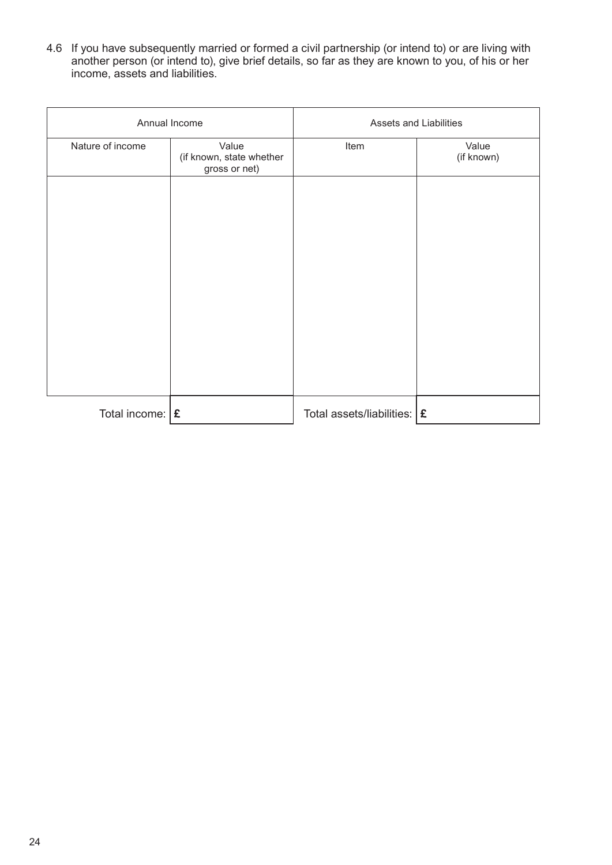4.6 If you have subsequently married or formed a civil partnership (or intend to) or are living with another person (or intend to), give brief details, so far as they are known to you, of his or her income, assets and liabilities.

| Annual Income              |                                                    | Assets and Liabilities                 |                     |
|----------------------------|----------------------------------------------------|----------------------------------------|---------------------|
| Nature of income           | Value<br>(if known, state whether<br>gross or net) | Item                                   | Value<br>(if known) |
|                            |                                                    |                                        |                     |
|                            |                                                    |                                        |                     |
|                            |                                                    |                                        |                     |
|                            |                                                    |                                        |                     |
|                            |                                                    |                                        |                     |
|                            |                                                    |                                        |                     |
| Total income: $\mathbf{E}$ |                                                    | Total assets/liabilities: $\mathbf{E}$ |                     |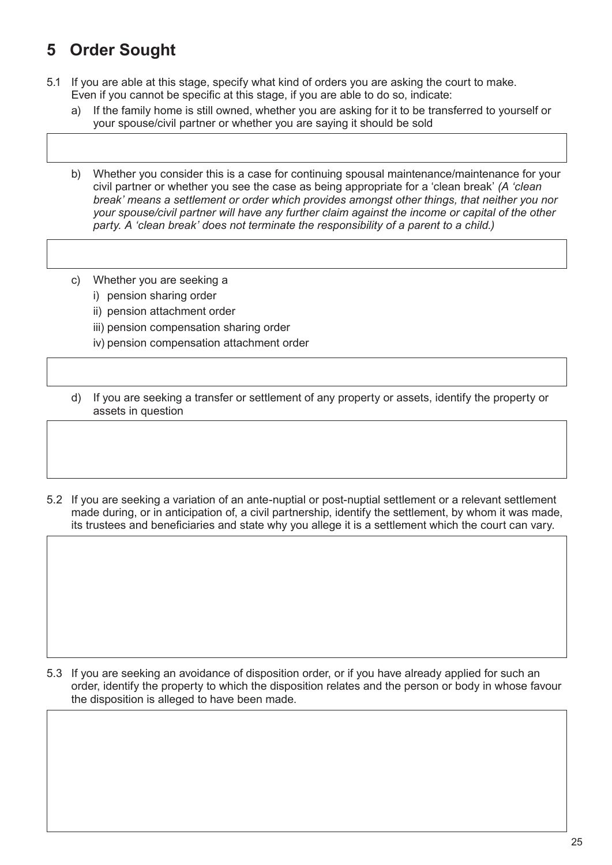# **5 Order Sought**

- 5.1 If you are able at this stage, specify what kind of orders you are asking the court to make. Even if you cannot be specific at this stage, if you are able to do so, indicate:
	- a) If the family home is still owned, whether you are asking for it to be transferred to yourself or your spouse/civil partner or whether you are saying it should be sold
	- b) Whether you consider this is a case for continuing spousal maintenance/maintenance for your civil partner or whether you see the case as being appropriate for a 'clean break' *(A 'clean break' means a settlement or order which provides amongst other things, that neither you nor your spouse/civil partner will have any further claim against the income or capital of the other party. A 'clean break' does not terminate the responsibility of a parent to a child.)*
	- c) Whether you are seeking a
		- i) pension sharing order
		- ii) pension attachment order
		- iii) pension compensation sharing order
		- iv) pension compensation attachment order
	- d) If you are seeking a transfer or settlement of any property or assets, identify the property or assets in question
- 5.2 If you are seeking a variation of an ante-nuptial or post-nuptial settlement or a relevant settlement made during, or in anticipation of, a civil partnership, identify the settlement, by whom it was made, its trustees and beneficiaries and state why you allege it is a settlement which the court can vary.

5.3 If you are seeking an avoidance of disposition order, or if you have already applied for such an order, identify the property to which the disposition relates and the person or body in whose favour the disposition is alleged to have been made.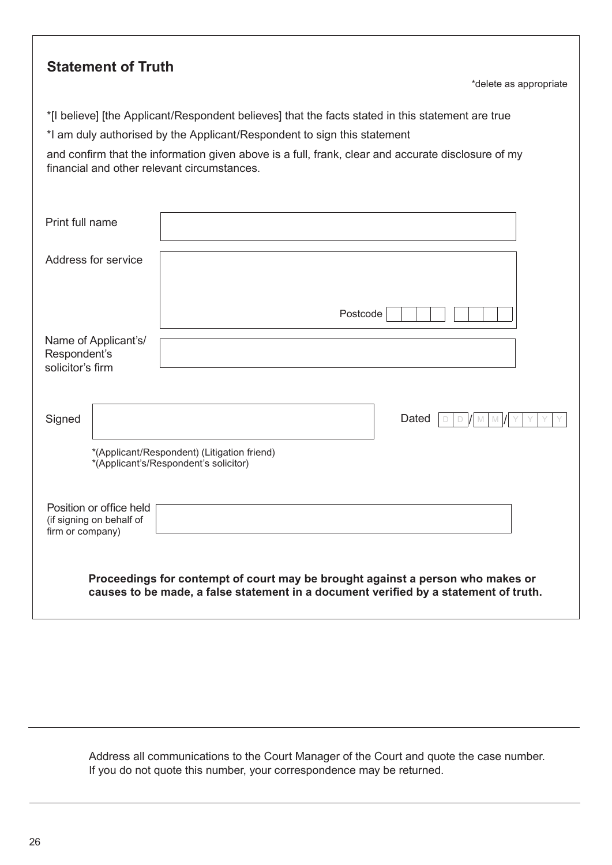|                                  | <b>Statement of Truth</b>                           |                                                                                                                                                                                                                                                                                                                                    | *delete as appropriate |
|----------------------------------|-----------------------------------------------------|------------------------------------------------------------------------------------------------------------------------------------------------------------------------------------------------------------------------------------------------------------------------------------------------------------------------------------|------------------------|
|                                  |                                                     | *[I believe] [the Applicant/Respondent believes] that the facts stated in this statement are true<br>*I am duly authorised by the Applicant/Respondent to sign this statement<br>and confirm that the information given above is a full, frank, clear and accurate disclosure of my<br>financial and other relevant circumstances. |                        |
| Print full name                  |                                                     |                                                                                                                                                                                                                                                                                                                                    |                        |
|                                  | Address for service                                 | Postcode                                                                                                                                                                                                                                                                                                                           |                        |
| Respondent's<br>solicitor's firm | Name of Applicant's/                                |                                                                                                                                                                                                                                                                                                                                    |                        |
| Signed                           |                                                     |                                                                                                                                                                                                                                                                                                                                    | Dated                  |
|                                  |                                                     | *(Applicant/Respondent) (Litigation friend)<br>*(Applicant's/Respondent's solicitor)                                                                                                                                                                                                                                               |                        |
| firm or company)                 | Position or office held<br>(if signing on behalf of |                                                                                                                                                                                                                                                                                                                                    |                        |
|                                  |                                                     | Proceedings for contempt of court may be brought against a person who makes or<br>causes to be made, a false statement in a document verified by a statement of truth.                                                                                                                                                             |                        |

Address all communications to the Court Manager of the Court and quote the case number. If you do not quote this number, your correspondence may be returned.